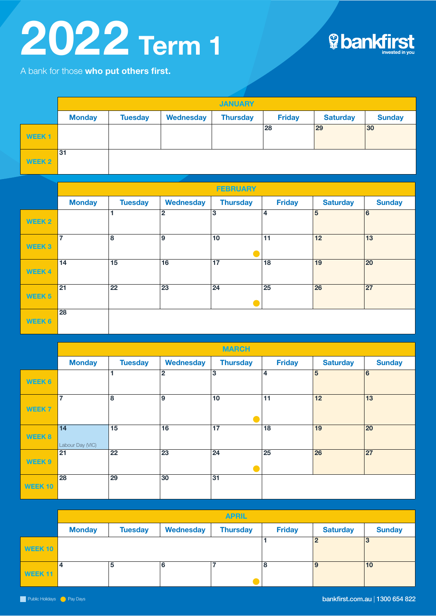## 2022 Term 1





|                   | <b>JANUARY</b> |                |           |                 |               |                 |               |  |  |  |
|-------------------|----------------|----------------|-----------|-----------------|---------------|-----------------|---------------|--|--|--|
|                   | <b>Monday</b>  | <b>Tuesday</b> | Wednesday | <b>Thursday</b> | <b>Friday</b> | <b>Saturday</b> | <b>Sunday</b> |  |  |  |
| WEEK <sub>1</sub> |                |                |           |                 | 28            | 29              | 30            |  |  |  |
| WEEK 2            | 31             |                |           |                 |               |                 |               |  |  |  |

|                   | <b>FEBRUARY</b> |                |                |                 |               |                 |                |  |  |
|-------------------|-----------------|----------------|----------------|-----------------|---------------|-----------------|----------------|--|--|
|                   | <b>Monday</b>   | <b>Tuesday</b> | Wednesday      | <b>Thursday</b> | <b>Friday</b> | <b>Saturday</b> | <b>Sunday</b>  |  |  |
| WEEK <sub>2</sub> |                 |                | $\overline{2}$ | 3               | 14            | $5\overline{5}$ | $\overline{6}$ |  |  |
| <b>WEEK 3</b>     | $\overline{7}$  | 8              | l 9            | 10              | 11            | 12              | 13             |  |  |
| <b>WEEK4</b>      | 14              | 15             | 16             | 17              | 18            | 19              | 20             |  |  |
| <b>WEEK 5</b>     | 21              | 22             | 23             | 24              | 25            | 26              | 27             |  |  |
| <b>WEEK 6</b>     | 28              |                |                |                 |               |                 |                |  |  |

|                    | <b>MARCH</b>           |                 |                  |                 |                 |                 |               |  |  |  |
|--------------------|------------------------|-----------------|------------------|-----------------|-----------------|-----------------|---------------|--|--|--|
|                    | <b>Monday</b>          | <b>Tuesday</b>  | <b>Wednesday</b> | <b>Thursday</b> | <b>Friday</b>   | <b>Saturday</b> | <b>Sunday</b> |  |  |  |
| <b>WEEK 6</b>      |                        |                 | $\overline{2}$   | 3               | 4               | 5               | 6             |  |  |  |
| <b>WEEK 7</b>      | $\overline{7}$         | 8               | 9                | 10              | 11              | 12              | 13            |  |  |  |
| <b>WEEK 8</b>      | 14<br>Labour Day (VIC) | 15              | 16               | 17              | 18              | 19              | 20            |  |  |  |
| <b>WEEK 9</b>      | 21                     | $\overline{22}$ | $\overline{23}$  | $\overline{24}$ | $\overline{25}$ | $\overline{26}$ | 27            |  |  |  |
| WEEK <sub>10</sub> | 28                     | 29              | 30               | 31              |                 |                 |               |  |  |  |

|         | <b>APRIL</b>  |                |                  |                 |               |                 |               |  |  |
|---------|---------------|----------------|------------------|-----------------|---------------|-----------------|---------------|--|--|
|         | <b>Monday</b> | <b>Tuesday</b> | <b>Wednesday</b> | <b>Thursday</b> | <b>Friday</b> | <b>Saturday</b> | <b>Sunday</b> |  |  |
| WEEK 10 |               |                |                  |                 |               |                 | 3             |  |  |
| WEEK 11 | 4             | 5              | 6                |                 | 8             | 9               | 10            |  |  |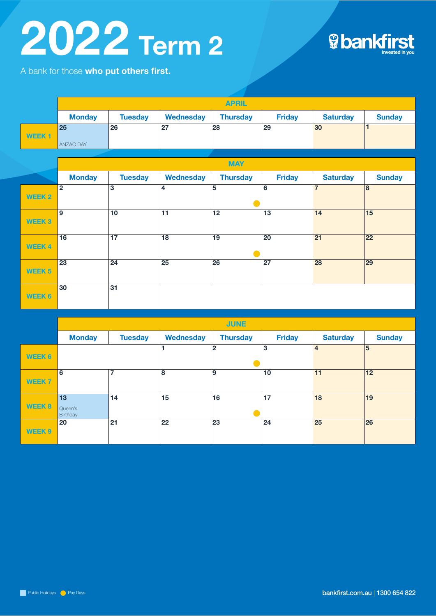## 2022 Term 2



A bank for those who put others first.

|                   | <b>APRIL</b>     |                |                         |                 |                 |                 |                 |  |  |
|-------------------|------------------|----------------|-------------------------|-----------------|-----------------|-----------------|-----------------|--|--|
|                   | <b>Monday</b>    | <b>Tuesday</b> | <b>Wednesday</b>        | <b>Thursday</b> | <b>Friday</b>   | <b>Saturday</b> | <b>Sunday</b>   |  |  |
|                   | 25               | 26             | 27                      | 28              | 29              | 30              | 1               |  |  |
| <b>WEEK1</b>      | <b>ANZAC DAY</b> |                |                         |                 |                 |                 |                 |  |  |
|                   |                  |                |                         |                 |                 |                 |                 |  |  |
|                   |                  |                |                         | <b>MAY</b>      |                 |                 |                 |  |  |
|                   | <b>Monday</b>    | <b>Tuesday</b> | <b>Wednesday</b>        | <b>Thursday</b> | <b>Friday</b>   | <b>Saturday</b> | <b>Sunday</b>   |  |  |
|                   | $\overline{2}$   | $\overline{3}$ | $\overline{\mathbf{4}}$ | $\overline{5}$  | $\overline{6}$  | $\overline{7}$  | $\overline{8}$  |  |  |
| <b>WEEK 2</b>     |                  |                |                         |                 |                 |                 |                 |  |  |
|                   | $\overline{9}$   | 10             | $\overline{11}$         | $\overline{12}$ | $\overline{13}$ | $\overline{14}$ | $\overline{15}$ |  |  |
| WEEK <sub>3</sub> |                  |                |                         |                 |                 |                 |                 |  |  |
|                   | 16               | 17             | $\overline{18}$         | 19              | 20              | $\overline{21}$ | 22              |  |  |
| <b>WEEK4</b>      |                  |                |                         |                 |                 |                 |                 |  |  |
|                   | 23               | 24             | 25                      | 26              | 27              | 28              | 29              |  |  |
| <b>WEEK 5</b>     |                  |                |                         |                 |                 |                 |                 |  |  |
|                   | 30               | 31             |                         |                 |                 |                 |                 |  |  |
| <b>WEEK 6</b>     |                  |                |                         |                 |                 |                 |                 |  |  |
|                   |                  |                |                         |                 |                 |                 |                 |  |  |

|                   | <b>JUNE</b>         |                |                  |                 |               |                 |               |  |  |
|-------------------|---------------------|----------------|------------------|-----------------|---------------|-----------------|---------------|--|--|
|                   | <b>Monday</b>       | <b>Tuesday</b> | <b>Wednesday</b> | <b>Thursday</b> | <b>Friday</b> | <b>Saturday</b> | <b>Sunday</b> |  |  |
| WEEK 6            |                     |                |                  | $\overline{2}$  | 13            | $\overline{4}$  | 5             |  |  |
|                   |                     |                |                  |                 |               |                 |               |  |  |
| WEEK <sub>7</sub> | 6                   | $\overline{7}$ | 8                | 9               | 10            | 11              | 12            |  |  |
|                   |                     |                |                  |                 |               |                 |               |  |  |
|                   | 13                  | 14             | 15               | 16              | 17            | 18              | 19            |  |  |
| <b>WEEK 8</b>     | Queen's<br>Birthday |                |                  |                 |               |                 |               |  |  |
|                   | 20                  | 21             | 22               | 23              | 24            | 25              | 26            |  |  |
| WEEK 9            |                     |                |                  |                 |               |                 |               |  |  |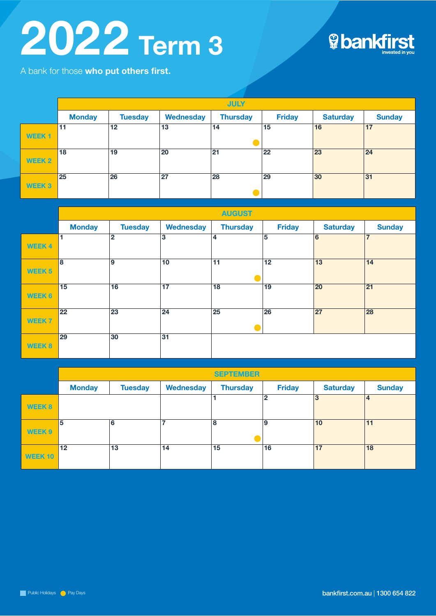## 2022 Term 3



A bank for those who put others first.

|              | <b>JULY</b>   |                |           |                 |               |                 |               |  |  |
|--------------|---------------|----------------|-----------|-----------------|---------------|-----------------|---------------|--|--|
|              | <b>Monday</b> | <b>Tuesday</b> | Wednesday | <b>Thursday</b> | <b>Friday</b> | <b>Saturday</b> | <b>Sunday</b> |  |  |
| <b>WEEK1</b> | 11            | 12             | 13        | 14              | 15            | 16              | 17            |  |  |
| WEEK 2       | 18            | 19             | 20        | 21              | 22            | 23              | 24            |  |  |
| <b>WEEK3</b> | 25            | 26             | 27        | 28              | 29            | 30              | 31            |  |  |

|               | <b>AUGUST</b> |                 |                  |                 |                 |                 |                 |  |  |
|---------------|---------------|-----------------|------------------|-----------------|-----------------|-----------------|-----------------|--|--|
|               | <b>Monday</b> | <b>Tuesday</b>  | <b>Wednesday</b> | <b>Thursday</b> | <b>Friday</b>   | <b>Saturday</b> | <b>Sunday</b>   |  |  |
| <b>WEEK4</b>  | 1             | $\mathbf{2}$    | 3                | 4               | $5\overline{5}$ | 6               | 7               |  |  |
| <b>WEEK 5</b> | 8             | 9               | 10               | 11              | 12              | 13              | 14              |  |  |
| <b>WEEK 6</b> | 15            | 16              | 17               | 18              | 19              | 20              | $\overline{21}$ |  |  |
| <b>WEEK7</b>  | 22            | $\overline{23}$ | $\overline{24}$  | $\overline{25}$ | 26              | 27              | 28              |  |  |
| <b>WEEK 8</b> | 29            | 30              | 31               |                 |                 |                 |                 |  |  |

|                | <b>SEPTEMBER</b> |                |                  |                 |               |                 |                |  |  |
|----------------|------------------|----------------|------------------|-----------------|---------------|-----------------|----------------|--|--|
|                | <b>Monday</b>    | <b>Tuesday</b> | <b>Wednesday</b> | <b>Thursday</b> | <b>Friday</b> | <b>Saturday</b> | <b>Sunday</b>  |  |  |
| WEEK 8         |                  |                |                  |                 | 2             | 3               | $\overline{4}$ |  |  |
| WEEK 9         | 5                | 6              | ۰,               | 8               | و             | 10              | 11             |  |  |
| <b>WEEK 10</b> | 12               | 13             | 14               | 15              | 16            | 17              | 18             |  |  |